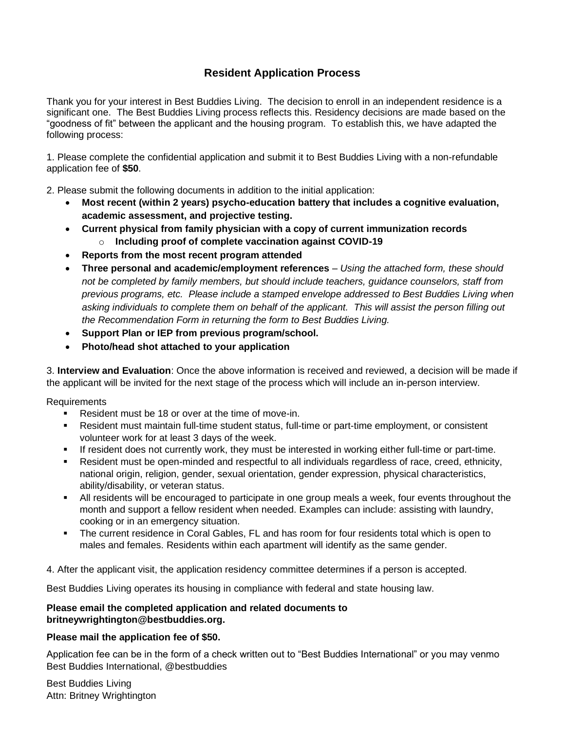# **Resident Application Process**

Thank you for your interest in Best Buddies Living. The decision to enroll in an independent residence is a significant one. The Best Buddies Living process reflects this. Residency decisions are made based on the "goodness of fit" between the applicant and the housing program. To establish this, we have adapted the following process:

1. Please complete the confidential application and submit it to Best Buddies Living with a non-refundable application fee of **\$50**.

2. Please submit the following documents in addition to the initial application:

- **Most recent (within 2 years) psycho-education battery that includes a cognitive evaluation, academic assessment, and projective testing.**
- **Current physical from family physician with a copy of current immunization records**  o **Including proof of complete vaccination against COVID-19**
- **Reports from the most recent program attended**
- **Three personal and academic/employment references**  *Using the attached form, these should not be completed by family members, but should include teachers, guidance counselors, staff from previous programs, etc. Please include a stamped envelope addressed to Best Buddies Living when asking individuals to complete them on behalf of the applicant. This will assist the person filling out the Recommendation Form in returning the form to Best Buddies Living.*
- **Support Plan or IEP from previous program/school.**
- **Photo/head shot attached to your application**

3. **Interview and Evaluation**: Once the above information is received and reviewed, a decision will be made if the applicant will be invited for the next stage of the process which will include an in-person interview.

Requirements

- Resident must be 18 or over at the time of move-in.
- Resident must maintain full-time student status, full-time or part-time employment, or consistent volunteer work for at least 3 days of the week.
- **■** If resident does not currently work, they must be interested in working either full-time or part-time.
- Resident must be open-minded and respectful to all individuals regardless of race, creed, ethnicity, national origin, religion, gender, sexual orientation, gender expression, physical characteristics, ability/disability, or veteran status.
- All residents will be encouraged to participate in one group meals a week, four events throughout the month and support a fellow resident when needed. Examples can include: assisting with laundry, cooking or in an emergency situation.
- The current residence in Coral Gables, FL and has room for four residents total which is open to males and females. Residents within each apartment will identify as the same gender.

4. After the applicant visit, the application residency committee determines if a person is accepted.

Best Buddies Living operates its housing in compliance with federal and state housing law.

### **Please email the completed application and related documents to britneywrightington@bestbuddies.org.**

## **Please mail the application fee of \$50.**

Application fee can be in the form of a check written out to "Best Buddies International" or you may venmo Best Buddies International, @bestbuddies

Best Buddies Living Attn: Britney Wrightington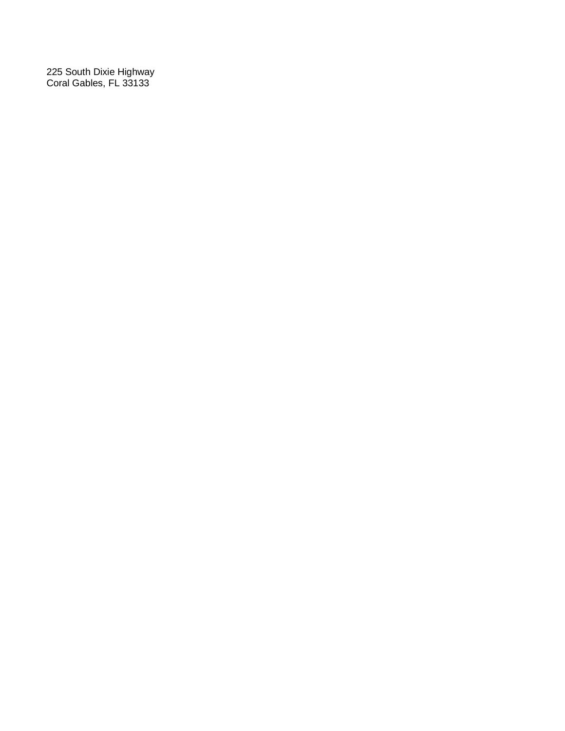225 South Dixie Highway Coral Gables, FL 33133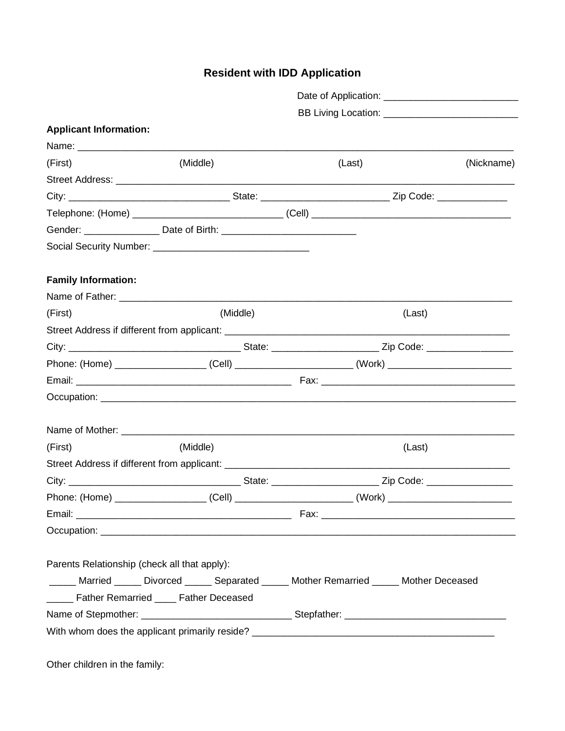# **Resident with IDD Application**

|                                              | BB Living Location: ____________________________                                                           |        |        |            |
|----------------------------------------------|------------------------------------------------------------------------------------------------------------|--------|--------|------------|
| <b>Applicant Information:</b>                |                                                                                                            |        |        |            |
|                                              |                                                                                                            |        |        |            |
| (First)                                      | (Middle)                                                                                                   | (Last) |        | (Nickname) |
|                                              |                                                                                                            |        |        |            |
|                                              |                                                                                                            |        |        |            |
|                                              |                                                                                                            |        |        |            |
|                                              |                                                                                                            |        |        |            |
|                                              |                                                                                                            |        |        |            |
| <b>Family Information:</b>                   |                                                                                                            |        |        |            |
|                                              |                                                                                                            |        |        |            |
| (First)                                      | (Middle)                                                                                                   |        | (Last) |            |
|                                              |                                                                                                            |        |        |            |
|                                              |                                                                                                            |        |        |            |
|                                              | Phone: (Home) _______________________(Cell) _____________________________(Work) __________________________ |        |        |            |
|                                              |                                                                                                            |        |        |            |
|                                              |                                                                                                            |        |        |            |
|                                              |                                                                                                            |        |        |            |
| (First)                                      | (Middle)                                                                                                   |        | (Last) |            |
|                                              |                                                                                                            |        |        |            |
|                                              |                                                                                                            |        |        |            |
|                                              | Phone: (Home) _______________________(Cell) _____________________________(Work) _________________________  |        |        |            |
|                                              |                                                                                                            |        |        |            |
|                                              |                                                                                                            |        |        |            |
| Parents Relationship (check all that apply): |                                                                                                            |        |        |            |
|                                              | Married _____ Divorced _____ Separated _____ Mother Remarried _____ Mother Deceased                        |        |        |            |
|                                              | ______ Father Remarried ____ Father Deceased                                                               |        |        |            |
|                                              | Name of Stepmother: ________________________________Stepfather: ___________________________________        |        |        |            |
|                                              |                                                                                                            |        |        |            |
|                                              |                                                                                                            |        |        |            |
| Other children in the family:                |                                                                                                            |        |        |            |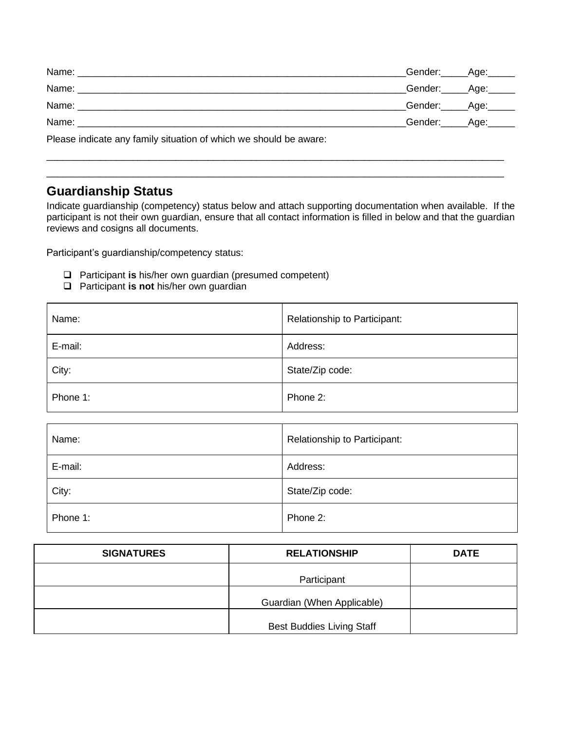| Name:          | _Gender:______Age:______ |  |
|----------------|--------------------------|--|
|                | _Gender:_____Age:_____   |  |
| Name:          | _Gender:_____Age:_____   |  |
| Name:          | _Gender:______Age:______ |  |
| $\blacksquare$ |                          |  |

 $\_$  ,  $\_$  ,  $\_$  ,  $\_$  ,  $\_$  ,  $\_$  ,  $\_$  ,  $\_$  ,  $\_$  ,  $\_$  ,  $\_$  ,  $\_$  ,  $\_$  ,  $\_$  ,  $\_$  ,  $\_$  ,  $\_$  ,  $\_$  ,  $\_$  ,  $\_$  ,  $\_$  ,  $\_$  ,  $\_$  ,  $\_$  ,  $\_$  ,  $\_$  ,  $\_$  ,  $\_$  ,  $\_$  ,  $\_$  ,  $\_$  ,  $\_$  ,  $\_$  ,  $\_$  ,  $\_$  ,  $\_$  ,  $\_$  ,  $\_$  ,  $\_$  ,  $\_$  ,  $\_$  ,  $\_$  ,  $\_$  ,  $\_$  ,  $\_$  ,  $\_$  ,  $\_$  ,  $\_$  ,  $\_$  ,  $\_$  ,  $\_$  ,  $\_$  ,  $\_$  ,  $\_$  ,  $\_$  ,  $\_$  ,  $\_$  ,  $\_$  ,  $\_$  ,  $\_$  ,  $\_$  ,  $\_$  ,  $\_$  ,  $\_$  ,  $\_$  ,  $\_$  ,  $\_$  ,  $\_$  ,  $\_$  ,  $\_$  ,  $\_$  ,  $\_$  ,  $\_$  ,  $\_$  ,

Please indicate any family situation of which we should be aware:

# **Guardianship Status**

Indicate guardianship (competency) status below and attach supporting documentation when available. If the participant is not their own guardian, ensure that all contact information is filled in below and that the guardian reviews and cosigns all documents.

Participant's guardianship/competency status:

- ❑ Participant **is** his/her own guardian (presumed competent)
- ❑ Participant **is not** his/her own guardian

| Name:    | Relationship to Participant: |
|----------|------------------------------|
| E-mail:  | Address:                     |
| City:    | State/Zip code:              |
| Phone 1: | Phone 2:                     |
|          |                              |
| Name:    | Relationship to Participant: |
| E-mail:  | Address:                     |
| City:    | State/Zip code:              |
| Phone 1: |                              |

| <b>SIGNATURES</b> | <b>RELATIONSHIP</b>              | <b>DATE</b> |
|-------------------|----------------------------------|-------------|
|                   | Participant                      |             |
|                   | Guardian (When Applicable)       |             |
|                   | <b>Best Buddies Living Staff</b> |             |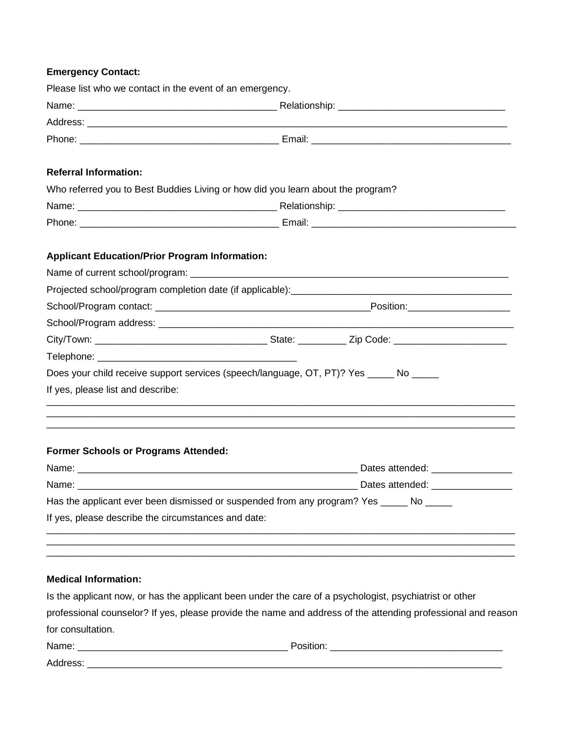# **Emergency Contact:**

| Please list who we contact in the event of an emergency.                               |                                                                                                                       |
|----------------------------------------------------------------------------------------|-----------------------------------------------------------------------------------------------------------------------|
|                                                                                        |                                                                                                                       |
|                                                                                        |                                                                                                                       |
|                                                                                        |                                                                                                                       |
|                                                                                        |                                                                                                                       |
| <b>Referral Information:</b>                                                           |                                                                                                                       |
| Who referred you to Best Buddies Living or how did you learn about the program?        |                                                                                                                       |
|                                                                                        |                                                                                                                       |
|                                                                                        |                                                                                                                       |
| <b>Applicant Education/Prior Program Information:</b>                                  |                                                                                                                       |
|                                                                                        |                                                                                                                       |
|                                                                                        |                                                                                                                       |
|                                                                                        |                                                                                                                       |
|                                                                                        |                                                                                                                       |
|                                                                                        |                                                                                                                       |
|                                                                                        |                                                                                                                       |
| Does your child receive support services (speech/language, OT, PT)? Yes _____ No _____ |                                                                                                                       |
| If yes, please list and describe:                                                      |                                                                                                                       |
|                                                                                        | <u>,</u> 这个人的人们就是一个人的人,我们就是一个人的人,我们就是一个人的人,我们就是一个人的人,我们就是一个人的人,我们就是一个人的人,我们就是一个人的人,我们就是                               |
|                                                                                        | <u> 1990 - Johann Stoff, amerikan bestein de stad i stoff fan de ferskearre fan de ferskearre fan de ferskearre f</u> |
| <b>Former Schools or Programs Attended:</b>                                            |                                                                                                                       |
|                                                                                        |                                                                                                                       |
|                                                                                        |                                                                                                                       |
|                                                                                        | Has the applicant ever been dismissed or suspended from any program? Yes _____ No ____                                |
| If yes, please describe the circumstances and date:                                    |                                                                                                                       |
|                                                                                        |                                                                                                                       |
|                                                                                        |                                                                                                                       |
|                                                                                        |                                                                                                                       |
| <b>Medical Information:</b>                                                            |                                                                                                                       |
|                                                                                        | Is the applicant now, or has the applicant been under the care of a psychologist, psychiatrist or other               |

professional counselor? If yes, please provide the name and address of the attending professional and reason for consultation.

| Name:    | ~ |
|----------|---|
| Address: |   |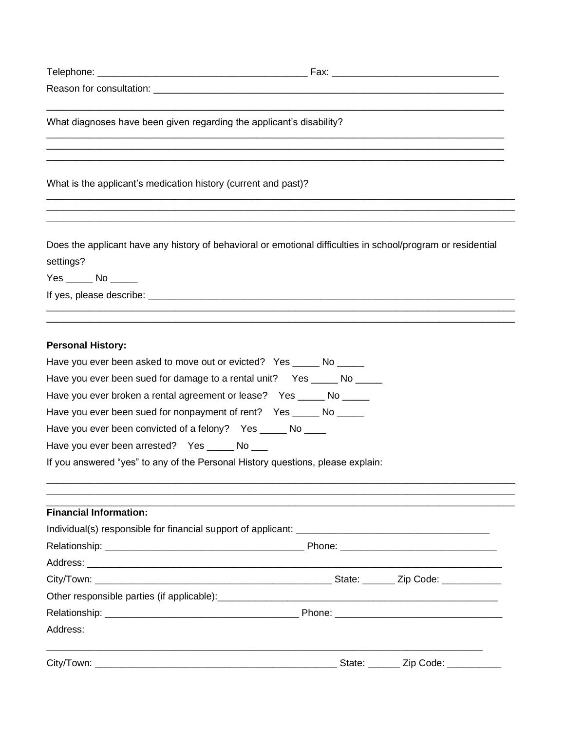| Telephone: |  |  |  |  |
|------------|--|--|--|--|
|            |  |  |  |  |

What diagnoses have been given regarding the applicant's disability?

<u> 1999 - Jan James James James James James James James James James James James James James James James James J</u>

What is the applicant's medication history (current and past)?

Does the applicant have any history of behavioral or emotional difficulties in school/program or residential settings?

#### **Personal History:**

| Have you ever been asked to move out or evicted? Yes _____ No _____             |  |
|---------------------------------------------------------------------------------|--|
| Have you ever been sued for damage to a rental unit? Yes ______ No _____        |  |
| Have you ever broken a rental agreement or lease? Yes _____ No _____            |  |
| Have you ever been sued for nonpayment of rent? Yes _____ No _____              |  |
| Have you ever been convicted of a felony? Yes ______ No ____                    |  |
| Have you ever been arrested? Yes ______ No ___                                  |  |
| If you answered "yes" to any of the Personal History questions, please explain: |  |
|                                                                                 |  |
|                                                                                 |  |
| <b>Financial Information:</b>                                                   |  |
|                                                                                 |  |
|                                                                                 |  |
|                                                                                 |  |
|                                                                                 |  |
|                                                                                 |  |
|                                                                                 |  |
| Address:                                                                        |  |
|                                                                                 |  |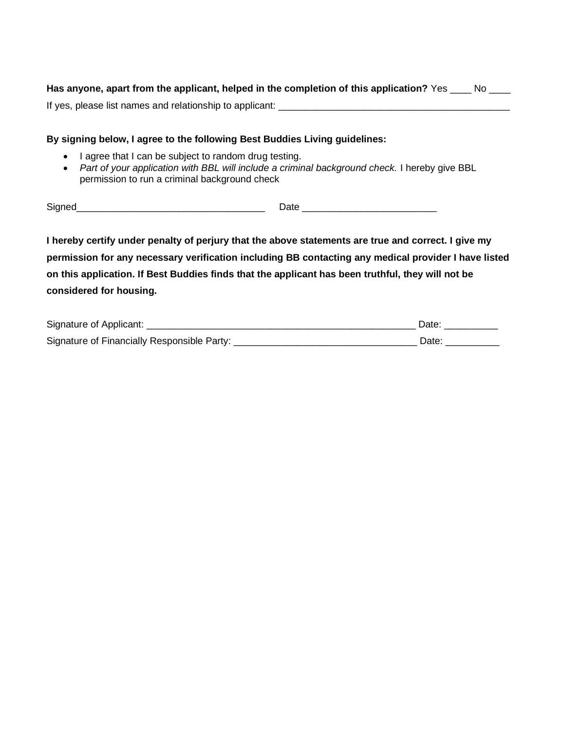| Has anyone, apart from the applicant, helped in the completion of this application? Yes |  |
|-----------------------------------------------------------------------------------------|--|
| If yes, please list names and relationship to applicant:                                |  |

#### **By signing below, I agree to the following Best Buddies Living guidelines:**

- I agree that I can be subject to random drug testing.
- *Part of your application with BBL will include a criminal background check.* I hereby give BBL permission to run a criminal background check

Signed\_\_\_\_\_\_\_\_\_\_\_\_\_\_\_\_\_\_\_\_\_\_\_\_\_\_\_\_\_\_\_\_\_\_\_ Date \_\_\_\_\_\_\_\_\_\_\_\_\_\_\_\_\_\_\_\_\_\_\_\_\_

**I hereby certify under penalty of perjury that the above statements are true and correct. I give my permission for any necessary verification including BB contacting any medical provider I have listed on this application. If Best Buddies finds that the applicant has been truthful, they will not be considered for housing.**

| Signature of Applicant:                     | Date: |
|---------------------------------------------|-------|
| Signature of Financially Responsible Party: | Date  |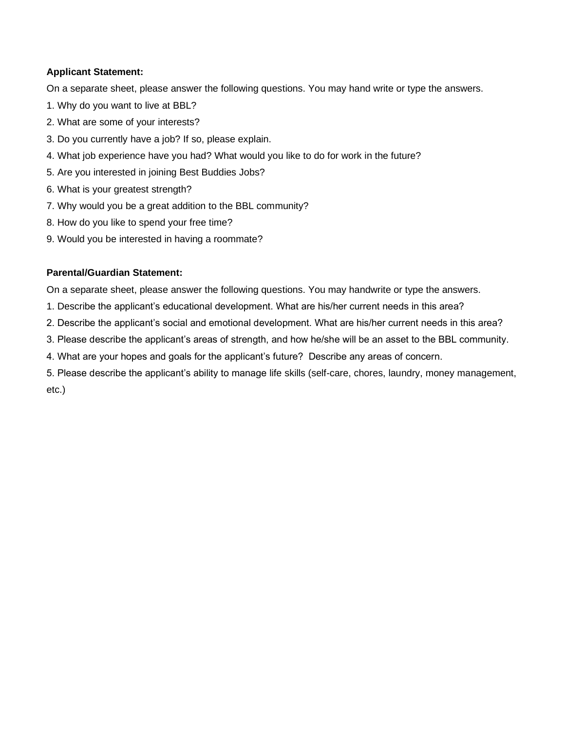#### **Applicant Statement:**

On a separate sheet, please answer the following questions. You may hand write or type the answers.

- 1. Why do you want to live at BBL?
- 2. What are some of your interests?
- 3. Do you currently have a job? If so, please explain.
- 4. What job experience have you had? What would you like to do for work in the future?
- 5. Are you interested in joining Best Buddies Jobs?
- 6. What is your greatest strength?
- 7. Why would you be a great addition to the BBL community?
- 8. How do you like to spend your free time?
- 9. Would you be interested in having a roommate?

#### **Parental/Guardian Statement:**

On a separate sheet, please answer the following questions. You may handwrite or type the answers.

- 1. Describe the applicant's educational development. What are his/her current needs in this area?
- 2. Describe the applicant's social and emotional development. What are his/her current needs in this area?
- 3. Please describe the applicant's areas of strength, and how he/she will be an asset to the BBL community.
- 4. What are your hopes and goals for the applicant's future? Describe any areas of concern.
- 5. Please describe the applicant's ability to manage life skills (self-care, chores, laundry, money management, etc.)